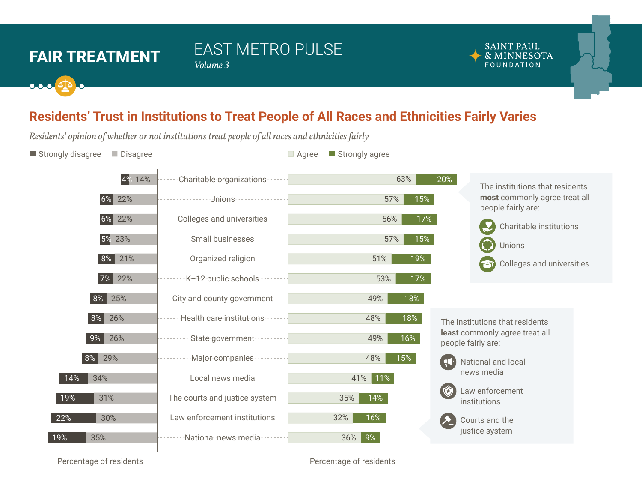## **FAIR TREATMENT**  $\begin{array}{c} \leftarrow \text{FAO} \\ \text{Volume 3} \end{array}$

# EAST METRO PULSE

#### **SAINT PAUL** & MINNESOTA FOUNDATION

## **Residents' Trust in Institutions to Treat People of All Races and Ethnicities Fairly Varies**

*Residents' opinion of whether or not institutions treat people of all races and ethnicities fairly* 

**Strongly disagree Agree Agree Agree Strongly agree Agree Strongly agree** Strongly agree



60% 50% 40% 30% 20% 10% 0% 0% 10% 20% 30% 40% 50% 60% 70% 80% 90% Percentage of residents Percentage of residents